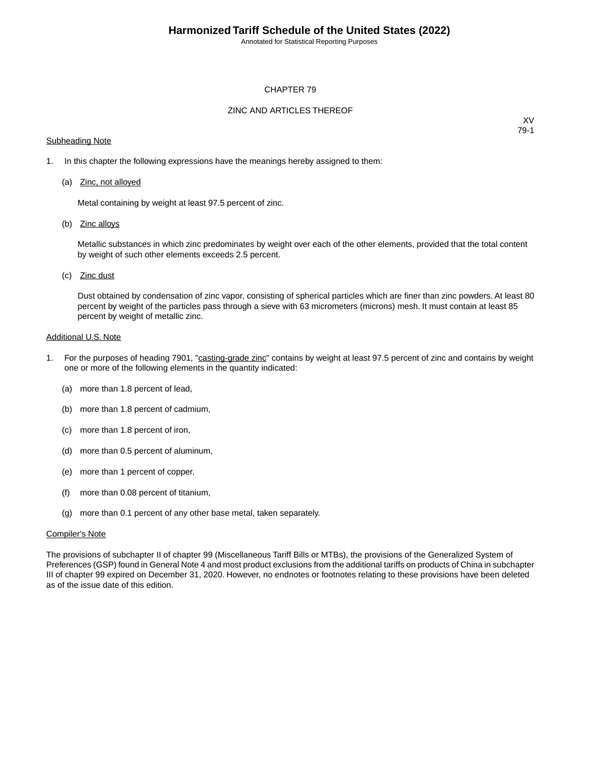Annotated for Statistical Reporting Purposes

#### CHAPTER 79

### ZINC AND ARTICLES THEREOF

#### **Subheading Note**

XV 79-1

- 1. In this chapter the following expressions have the meanings hereby assigned to them:
	- (a) Zinc, not alloyed

Metal containing by weight at least 97.5 percent of zinc.

(b) Zinc alloys

Metallic substances in which zinc predominates by weight over each of the other elements, provided that the total content by weight of such other elements exceeds 2.5 percent.

(c) Zinc dust

Dust obtained by condensation of zinc vapor, consisting of spherical particles which are finer than zinc powders. At least 80 percent by weight of the particles pass through a sieve with 63 micrometers (microns) mesh. It must contain at least 85 percent by weight of metallic zinc.

#### Additional U.S. Note

- 1. For the purposes of heading 7901, "casting-grade zinc" contains by weight at least 97.5 percent of zinc and contains by weight one or more of the following elements in the quantity indicated:
	- (a) more than 1.8 percent of lead,
	- (b) more than 1.8 percent of cadmium,
	- (c) more than 1.8 percent of iron,
	- (d) more than 0.5 percent of aluminum,
	- (e) more than 1 percent of copper,
	- (f) more than 0.08 percent of titanium,
	- (g) more than 0.1 percent of any other base metal, taken separately.

#### Compiler's Note

The provisions of subchapter II of chapter 99 (Miscellaneous Tariff Bills or MTBs), the provisions of the Generalized System of Preferences (GSP) found in General Note 4 and most product exclusions from the additional tariffs on products of China in subchapter III of chapter 99 expired on December 31, 2020. However, no endnotes or footnotes relating to these provisions have been deleted as of the issue date of this edition.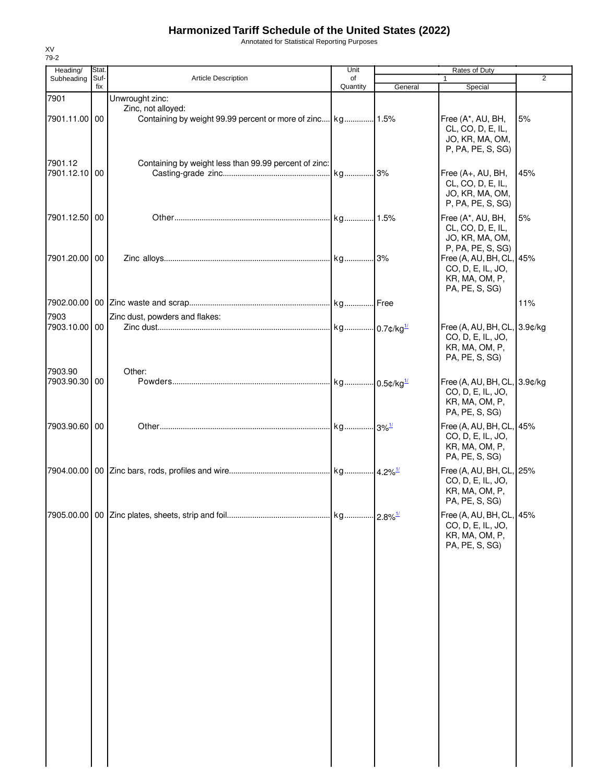Annotated for Statistical Reporting Purposes

| Heading/<br>Subheading   | Stat.<br>Suf- | Article Description                                   | Unit<br>of | Rates of Duty<br>$\mathbf{1}$ |                                                                                       |                |
|--------------------------|---------------|-------------------------------------------------------|------------|-------------------------------|---------------------------------------------------------------------------------------|----------------|
|                          | fix           |                                                       | Quantity   | General                       | Special                                                                               | $\overline{2}$ |
| 7901<br>7901.11.00 00    |               | Unwrought zinc:<br>Zinc, not alloyed:                 |            |                               | Free (A*, AU, BH,                                                                     | 5%             |
|                          |               |                                                       |            |                               | CL, CO, D, E, IL,<br>JO, KR, MA, OM,<br>P, PA, PE, S, SG)                             |                |
| 7901.12<br>7901.12.10 00 |               | Containing by weight less than 99.99 percent of zinc: |            |                               | Free (A+, AU, BH,<br>CL, CO, D, E, IL,<br>JO, KR, MA, OM,<br>P, PA, PE, S, SG)        | 45%            |
| 7901.12.50 00            |               |                                                       |            |                               | Free (A*, AU, BH,<br>CL, CO, D, E, IL,<br>JO, KR, MA, OM,<br>P, PA, PE, S, SG)        | 5%             |
| 7901.20.00 00            |               |                                                       |            |                               | Free (A, AU, BH, CL, 45%<br>CO, D, E, IL, JO,<br>KR, MA, OM, P,<br>PA, PE, S, SG)     |                |
|                          |               |                                                       |            |                               |                                                                                       | 11%            |
| 7903<br>7903.10.00 00    |               | Zinc dust, powders and flakes:                        |            |                               | Free (A, AU, BH, CL, 3.9¢/kg<br>CO, D, E, IL, JO,<br>KR, MA, OM, P,<br>PA, PE, S, SG) |                |
| 7903.90<br>7903.90.30 00 |               | Other:                                                |            |                               | Free (A, AU, BH, CL, 3.9¢/kg<br>CO, D, E, IL, JO,<br>KR, MA, OM, P,<br>PA, PE, S, SG) |                |
| 7903.90.60 00            |               |                                                       |            |                               | Free (A, AU, BH, CL, 45%<br>CO, D, E, IL, JO,<br>KR, MA, OM, P,<br>PA, PE, S, SG)     |                |
|                          |               |                                                       |            |                               | Free (A, AU, BH, CL, 25%<br>CO, D, E, IL, JO,<br>KR, MA, OM, P,<br>PA, PE, S, SG)     |                |
|                          |               |                                                       |            |                               | Free (A, AU, BH, CL, 45%<br>CO, D, E, IL, JO,<br>KR, MA, OM, P,<br>PA, PE, S, SG)     |                |
|                          |               |                                                       |            |                               |                                                                                       |                |
|                          |               |                                                       |            |                               |                                                                                       |                |
|                          |               |                                                       |            |                               |                                                                                       |                |
|                          |               |                                                       |            |                               |                                                                                       |                |

XV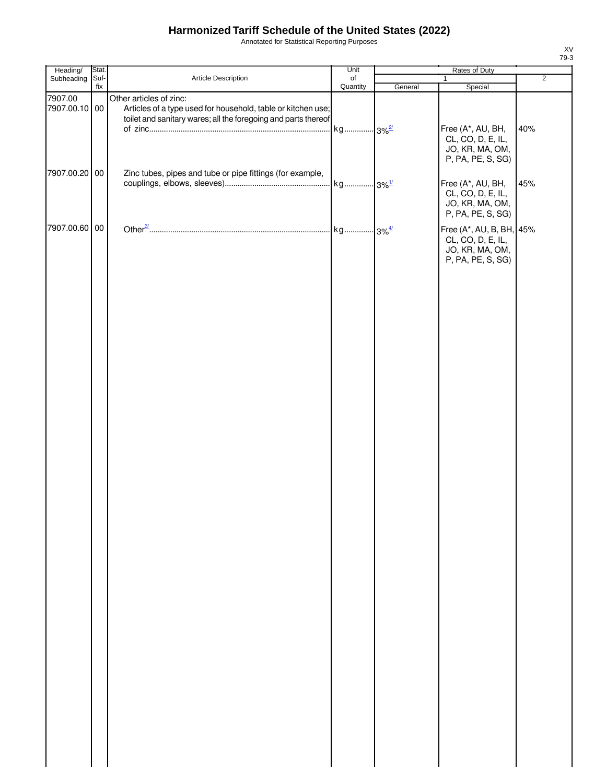Annotated for Statistical Reporting Purposes

| Heading/                 | Stat. |                                                                                                                                                           | Unit                            |         |                                                                                                            |                |
|--------------------------|-------|-----------------------------------------------------------------------------------------------------------------------------------------------------------|---------------------------------|---------|------------------------------------------------------------------------------------------------------------|----------------|
| Subheading               | Suf-  | Article Description                                                                                                                                       | of                              |         | $\mathbf{1}$                                                                                               | $\overline{2}$ |
| 7907.00<br>7907.00.10 00 | fix   | Other articles of zinc:<br>Articles of a type used for household, table or kitchen use;<br>toilet and sanitary wares; all the foregoing and parts thereof | Quantity<br>kg 3% <sup>2/</sup> | General | Special<br>Free (A*, AU, BH,<br>CL, CO, D, E, IL,<br>JO, KR, MA, OM,                                       | 40%            |
| 7907.00.20 00            |       | Zinc tubes, pipes and tube or pipe fittings (for example,                                                                                                 |                                 |         | P, PA, PE, S, SG)<br>Free (A*, AU, BH,<br>CL, CO, D, E, IL,<br>JO, KR, MA, OM,                             | 45%            |
| 7907.00.60 00            |       |                                                                                                                                                           |                                 |         | P, PA, PE, S, SG)<br>Free (A*, AU, B, BH, 45%<br>CL, CO, D, E, IL,<br>JO, KR, MA, OM,<br>P, PA, PE, S, SG) |                |
|                          |       |                                                                                                                                                           |                                 |         |                                                                                                            |                |

XV 79-3